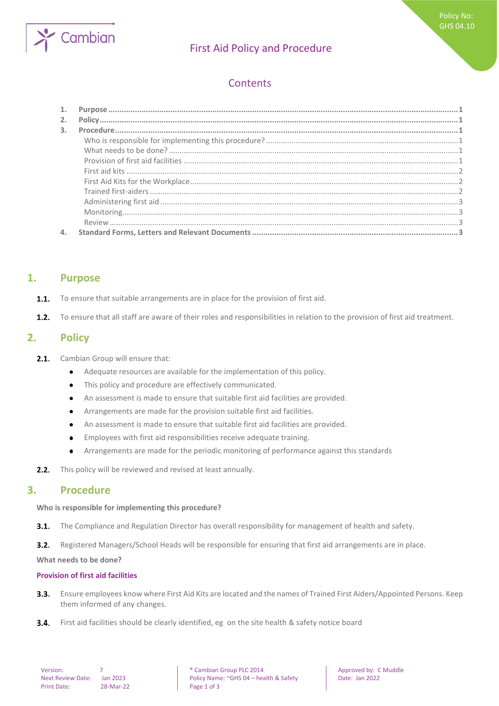

# First Aid Policy and Procedure

# **Contents**

| 2.             |  |
|----------------|--|
| $\mathbf{3}$ . |  |
|                |  |
|                |  |
|                |  |
|                |  |
|                |  |
|                |  |
|                |  |
|                |  |
|                |  |
|                |  |

## <span id="page-0-0"></span>**1. Purpose**

- To ensure that suitable arrangements are in place for the provision of first aid.  $1.1.$
- <span id="page-0-1"></span> $1.2.$ To ensure that all staff are aware of their roles and responsibilities in relation to the provision of first aid treatment.

## **2. Policy**

- $2.1.$ Cambian Group will ensure that:
	- Adequate resources are available for the implementation of this policy.  $\bullet$
	- This policy and procedure are effectively communicated.  $\bullet$
	- An assessment is made to ensure that suitable first aid facilities are provided.  $\bullet$
	- Arrangements are made for the provision suitable first aid facilities.  $\bullet$
	- An assessment is made to ensure that suitable first aid facilities are provided.  $\bullet$
	- Employees with first aid responsibilities receive adequate training.  $\bullet$
	- Arrangements are made for the periodic monitoring of performance against this standards  $\bullet$
- <span id="page-0-2"></span>This policy will be reviewed and revised at least annually.  $2.2.$

## **3. Procedure**

#### <span id="page-0-3"></span>**Who is responsible for implementing this procedure?**

 $3.1.$ The Compliance and Regulation Director has overall responsibility for management of health and safety.

 $3.2.$ Registered Managers/School Heads will be responsible for ensuring that first aid arrangements are in place.

<span id="page-0-4"></span>**What needs to be done?**

#### <span id="page-0-5"></span>**Provision of first aid facilities**

- Ensure employees know where First Aid Kits are located and the names of Trained First Aiders/Appointed Persons. Keep  $3.3.$ them informed of any changes.
- $3.4.$ First aid facilities should be clearly identified, eg on the site health & safety notice board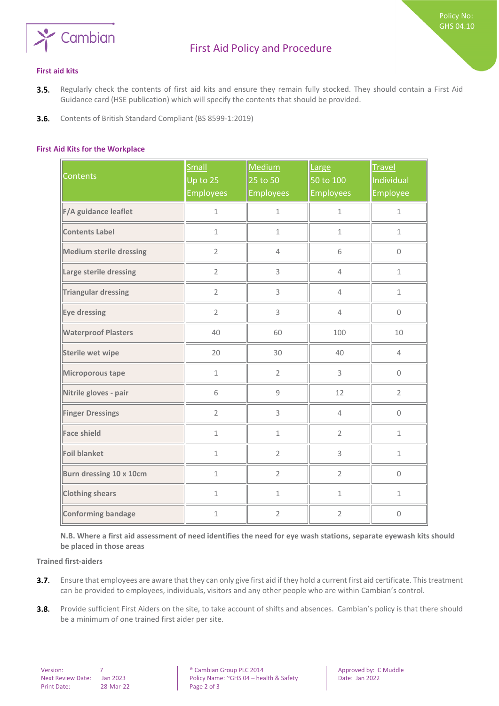

Policy No: GHS 04.10

- <span id="page-1-0"></span>Regularly check the contents of first aid kits and ensure they remain fully stocked. They should contain a First Aid  $3.5.$ Guidance card (HSE publication) which will specify the contents that should be provided.
- <span id="page-1-1"></span> $3.6.$ Contents of British Standard Compliant (BS 8599-1:2019)

#### **First Aid Kits for the Workplace**

| <b>Contents</b>                | Small<br>Up to $25$<br><b>Employees</b> | Medium<br>25 to 50<br><b>Employees</b> | Large<br>50 to 100<br><b>Employees</b> | <b>Travel</b><br>Individual<br>Employee |
|--------------------------------|-----------------------------------------|----------------------------------------|----------------------------------------|-----------------------------------------|
| F/A guidance leaflet           | $\mathbf 1$                             | $\mathbf 1$                            | $\mathbf{1}$                           | $\mathbf{1}$                            |
| <b>Contents Label</b>          | $\mathbf{1}$                            | $\mathbf{1}$                           | $\mathbf 1$                            | $\mathbf{1}$                            |
| <b>Medium sterile dressing</b> | $\overline{2}$                          | $\overline{4}$                         | 6                                      | $\Omega$                                |
| Large sterile dressing         | $\overline{2}$                          | 3                                      | $\overline{4}$                         | $\mathbf{1}$                            |
| <b>Triangular dressing</b>     | $\overline{2}$                          | 3                                      | $\overline{4}$                         | $\mathbf 1$                             |
| Eye dressing                   | $\overline{2}$                          | 3                                      | $\overline{4}$                         | $\mathsf{O}\xspace$                     |
| <b>Waterproof Plasters</b>     | 40                                      | 60                                     | 100                                    | 10                                      |
| <b>Sterile wet wipe</b>        | 20                                      | 30                                     | 40                                     | $\overline{4}$                          |
| Microporous tape               | $\mathbf{1}$                            | $\overline{2}$                         | 3                                      | 0                                       |
| Nitrile gloves - pair          | 6                                       | 9                                      | 12                                     | $\overline{2}$                          |
| <b>Finger Dressings</b>        | $\overline{2}$                          | 3                                      | $\overline{4}$                         | $\mathbf 0$                             |
| <b>Face shield</b>             | $\mathbf{1}$                            | $\mathbf 1$                            | $\overline{2}$                         | $\mathbf{1}$                            |
| <b>Foil blanket</b>            | $\mathbf 1$                             | $\overline{2}$                         | 3                                      | $\mathbf 1$                             |
| Burn dressing 10 x 10cm        | $\mathbf 1$                             | $\overline{2}$                         | $\overline{2}$                         | $\mathsf{O}\xspace$                     |
| <b>Clothing shears</b>         | $\mathbf{1}$                            | $\mathbf{1}$                           | $\mathbf{1}$                           | $\mathbf{1}$                            |
| <b>Conforming bandage</b>      | $\mathbf 1$                             | $\overline{2}$                         | $\overline{2}$                         | $\mathbf 0$                             |

<span id="page-1-2"></span>**N.B. Where a first aid assessment of need identifies the need for eye wash stations, separate eyewash kits should be placed in those areas** 

**Trained first-aiders**

- Ensure that employees are aware that they can only give first aid if they hold a current first aid certificate. This treatment  $3.7.$ can be provided to employees, individuals, visitors and any other people who are within Cambian's control.
- $3.8.$ Provide sufficient First Aiders on the site, to take account of shifts and absences. Cambian's policy is that there should be a minimum of one trained first aider per site.